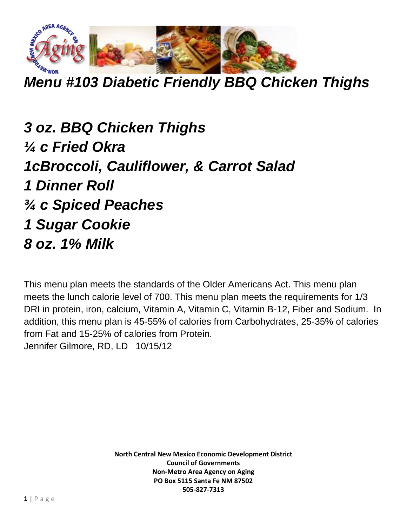

*Menu #103 Diabetic Friendly BBQ Chicken Thighs*

*3 oz. BBQ Chicken Thighs ¼ c Fried Okra 1cBroccoli, Cauliflower, & Carrot Salad 1 Dinner Roll ¾ c Spiced Peaches 1 Sugar Cookie 8 oz. 1% Milk*

This menu plan meets the standards of the Older Americans Act. This menu plan meets the lunch calorie level of 700. This menu plan meets the requirements for 1/3 DRI in protein, iron, calcium, Vitamin A, Vitamin C, Vitamin B-12, Fiber and Sodium. In addition, this menu plan is 45-55% of calories from Carbohydrates, 25-35% of calories from Fat and 15-25% of calories from Protein. Jennifer Gilmore, RD, LD 10/15/12

> **North Central New Mexico Economic Development District Council of Governments Non-Metro Area Agency on Aging PO Box 5115 Santa Fe NM 87502 505-827-7313**